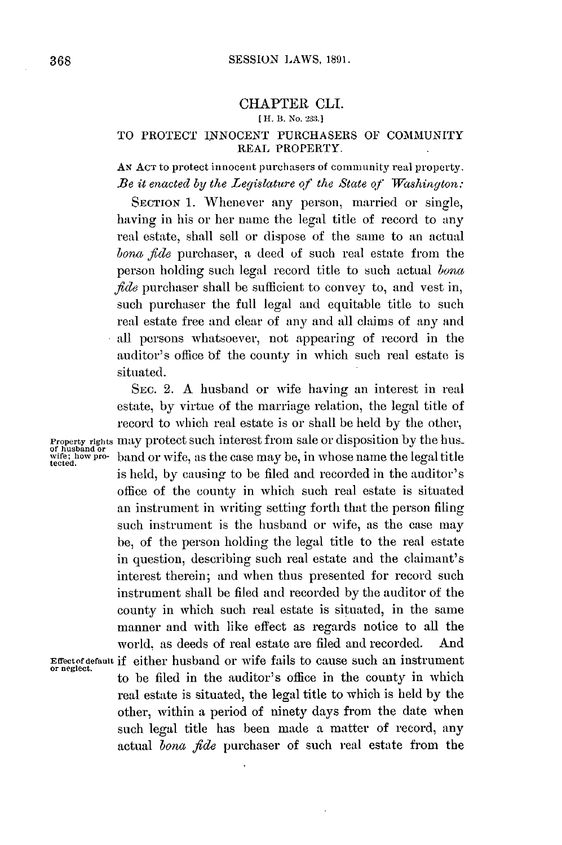## **CHAPTER CLI.**

## **[ H. B. No. 233.1**

## TO PROTECT **INNOCENT** PURCHASERS OF COMMUNITY REAL PROPERTY.

**AN AcT** to protect innocent purchasers of community real property. *Be it enacted by the Legislature of the State of Washington:*

**SECTION 1.** Whenever any person, married or single, having in his or her name the **legal** title of record to any real estate, shall sell or dispose of the same to an actual *bona fide* purchaser, **a** deed **of** such real estate from the person holding such legal record title to such actual *bona fide* purchaser shall be sufficient to convey to, and vest in, such purchaser the full legal and equitable title to such real estate free and clear of any and all claims of any and all persons whatsoever, not appearing of record in the auditor's office **of** the county in which such real estate is situated.

SEc. 2. **A** husband or wife having an interest in real estate, **by** virtue of the marriage relation, the legal title of record to which real estate is or shall **be held by** the other, **Property rights may protect such interest from sale or disposition by the hus-**<br>of husband or<br>tected.<br>tected. is held, **by** causing to be **filed** and recorded in the auditor's office of the county in which such real estate is situated an instrument in writing setting forth that the person filing such instrument is the husband or wife, as the case may be, of the person holding the legal title to the real estate in question, describing such real estate and the claimant's interest therein; and when thus presented for record such instrument shall be filed and recorded **by** the auditor of the county in which such real estate is situated, in the same manner and with like effect as regards notice to all the world. as deeds of real estate are filed and recorded. And **Effectofdefault if** either husband or wife fails to cause such an instrument **or neglect.** to be filed in the auditor's office in the county in which real estate is situated, the legal title to which is held **by** the other, within a period of ninety days from the date when such legal title has been made a matter of record, any actual *bona fide* purchaser of such real estate from the